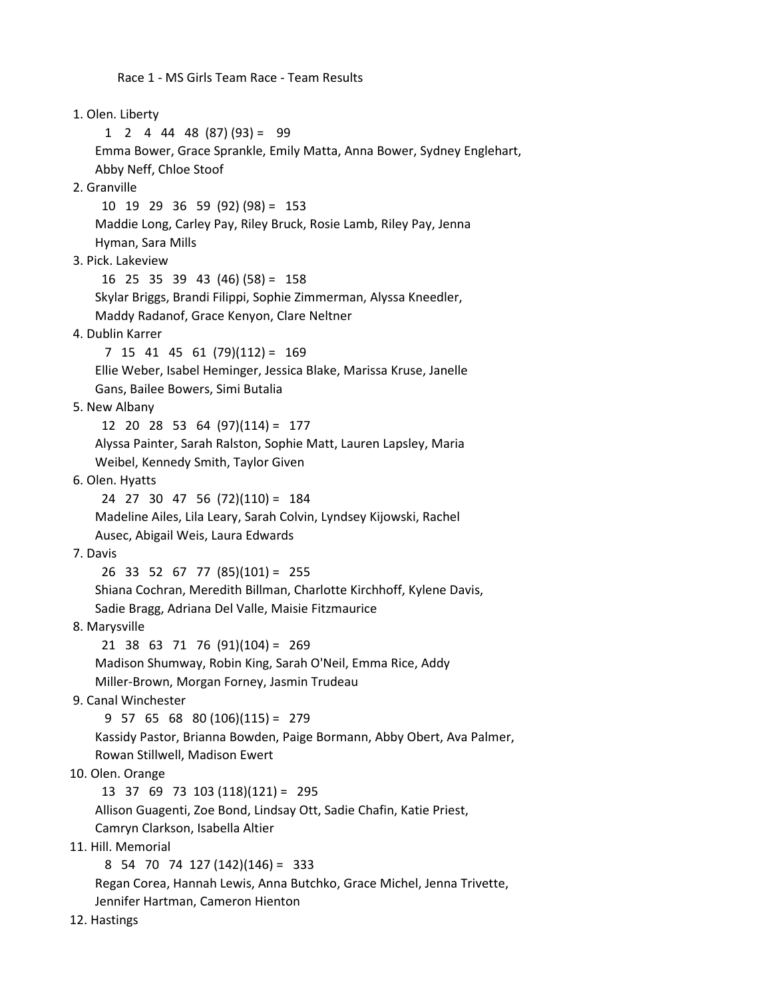Race 1 - MS Girls Team Race - Team Results

 1. Olen. Liberty  $1 \quad 2 \quad 4 \quad 44 \quad 48 \quad (87) \quad (93) = 99$  Emma Bower, Grace Sprankle, Emily Matta, Anna Bower, Sydney Englehart, Abby Neff, Chloe Stoof 2. Granville 10 19 29 36 59 (92) (98) = 153 Maddie Long, Carley Pay, Riley Bruck, Rosie Lamb, Riley Pay, Jenna Hyman, Sara Mills 3. Pick. Lakeview 16 25 35 39 43 (46) (58) = 158 Skylar Briggs, Brandi Filippi, Sophie Zimmerman, Alyssa Kneedler, Maddy Radanof, Grace Kenyon, Clare Neltner 4. Dublin Karrer 7 15 41 45 61 (79)(112) = 169 Ellie Weber, Isabel Heminger, Jessica Blake, Marissa Kruse, Janelle Gans, Bailee Bowers, Simi Butalia 5. New Albany 12 20 28 53 64 (97)(114) = 177 Alyssa Painter, Sarah Ralston, Sophie Matt, Lauren Lapsley, Maria Weibel, Kennedy Smith, Taylor Given 6. Olen. Hyatts 24 27 30 47 56 (72)(110) = 184 Madeline Ailes, Lila Leary, Sarah Colvin, Lyndsey Kijowski, Rachel Ausec, Abigail Weis, Laura Edwards 7. Davis 26 33 52 67 77 (85)(101) = 255 Shiana Cochran, Meredith Billman, Charlotte Kirchhoff, Kylene Davis, Sadie Bragg, Adriana Del Valle, Maisie Fitzmaurice 8. Marysville 21 38 63 71 76 (91)(104) = 269 Madison Shumway, Robin King, Sarah O'Neil, Emma Rice, Addy Miller-Brown, Morgan Forney, Jasmin Trudeau 9. Canal Winchester 9 57 65 68 80 (106)(115) = 279 Kassidy Pastor, Brianna Bowden, Paige Bormann, Abby Obert, Ava Palmer, Rowan Stillwell, Madison Ewert 10. Olen. Orange 13 37 69 73 103 (118)(121) = 295 Allison Guagenti, Zoe Bond, Lindsay Ott, Sadie Chafin, Katie Priest, Camryn Clarkson, Isabella Altier 11. Hill. Memorial 8 54 70 74 127 (142)(146) = 333 Regan Corea, Hannah Lewis, Anna Butchko, Grace Michel, Jenna Trivette, Jennifer Hartman, Cameron Hienton

12. Hastings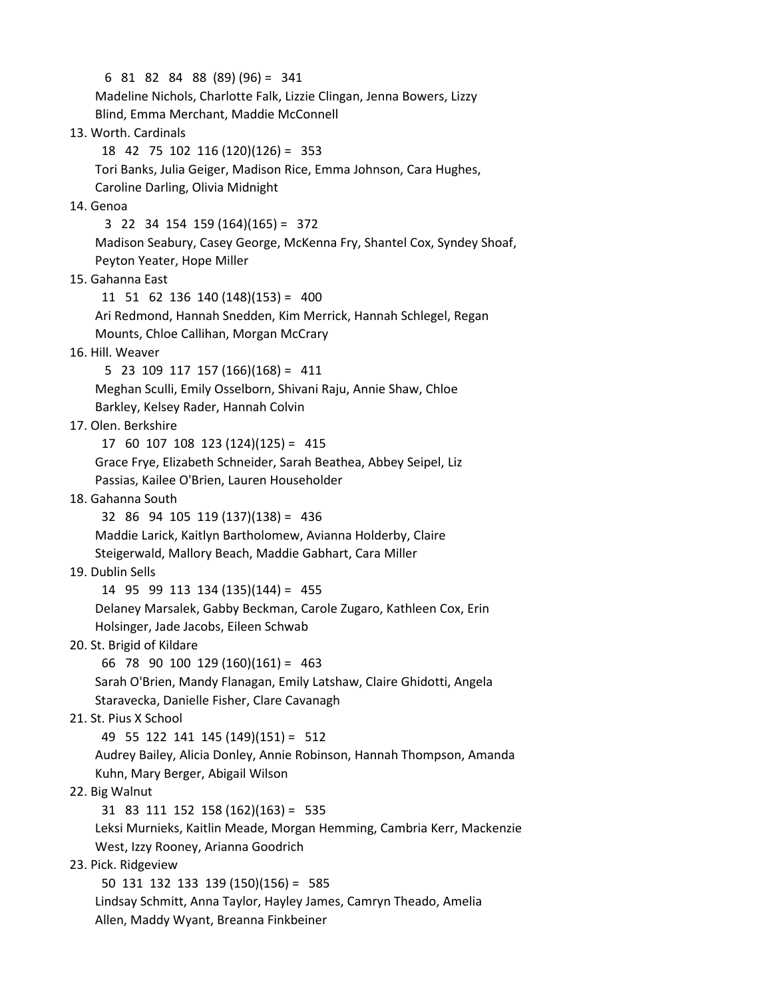6 81 82 84 88 (89) (96) = 341 Madeline Nichols, Charlotte Falk, Lizzie Clingan, Jenna Bowers, Lizzy Blind, Emma Merchant, Maddie McConnell 13. Worth. Cardinals 18 42 75 102 116 (120)(126) = 353 Tori Banks, Julia Geiger, Madison Rice, Emma Johnson, Cara Hughes, Caroline Darling, Olivia Midnight 14. Genoa 3 22 34 154 159 (164)(165) = 372 Madison Seabury, Casey George, McKenna Fry, Shantel Cox, Syndey Shoaf, Peyton Yeater, Hope Miller 15. Gahanna East 11 51 62 136 140 (148)(153) = 400 Ari Redmond, Hannah Snedden, Kim Merrick, Hannah Schlegel, Regan Mounts, Chloe Callihan, Morgan McCrary 16. Hill. Weaver 5 23 109 117 157 (166)(168) = 411 Meghan Sculli, Emily Osselborn, Shivani Raju, Annie Shaw, Chloe Barkley, Kelsey Rader, Hannah Colvin 17. Olen. Berkshire 17 60 107 108 123 (124)(125) = 415 Grace Frye, Elizabeth Schneider, Sarah Beathea, Abbey Seipel, Liz Passias, Kailee O'Brien, Lauren Householder 18. Gahanna South 32 86 94 105 119 (137)(138) = 436 Maddie Larick, Kaitlyn Bartholomew, Avianna Holderby, Claire Steigerwald, Mallory Beach, Maddie Gabhart, Cara Miller 19. Dublin Sells 14 95 99 113 134 (135)(144) = 455 Delaney Marsalek, Gabby Beckman, Carole Zugaro, Kathleen Cox, Erin Holsinger, Jade Jacobs, Eileen Schwab 20. St. Brigid of Kildare 66 78 90 100 129 (160)(161) = 463 Sarah O'Brien, Mandy Flanagan, Emily Latshaw, Claire Ghidotti, Angela Staravecka, Danielle Fisher, Clare Cavanagh 21. St. Pius X School 49 55 122 141 145 (149)(151) = 512 Audrey Bailey, Alicia Donley, Annie Robinson, Hannah Thompson, Amanda Kuhn, Mary Berger, Abigail Wilson 22. Big Walnut 31 83 111 152 158 (162)(163) = 535 Leksi Murnieks, Kaitlin Meade, Morgan Hemming, Cambria Kerr, Mackenzie West, Izzy Rooney, Arianna Goodrich 23. Pick. Ridgeview 50 131 132 133 139 (150)(156) = 585 Lindsay Schmitt, Anna Taylor, Hayley James, Camryn Theado, Amelia

Allen, Maddy Wyant, Breanna Finkbeiner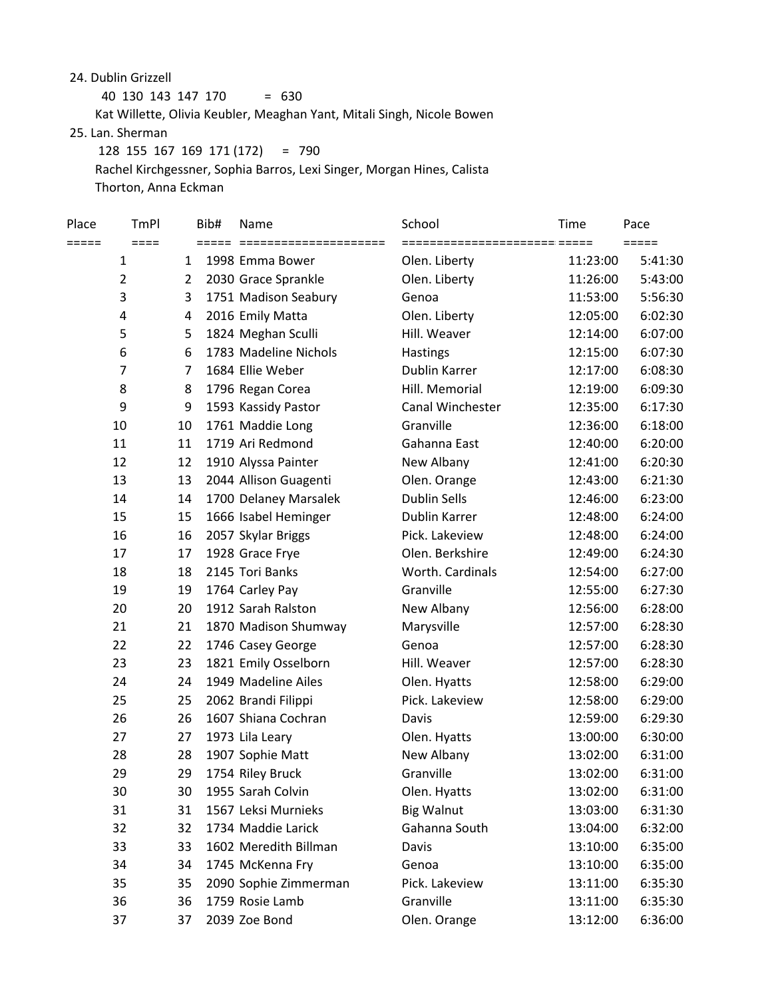24. Dublin Grizzell

 40 130 143 147 170 = 630 Kat Willette, Olivia Keubler, Meaghan Yant, Mitali Singh, Nicole Bowen 25. Lan. Sherman 128 155 167 169 171 (172) = 790 Rachel Kirchgessner, Sophia Barros, Lexi Singer, Morgan Hines, Calista

Thorton, Anna Eckman

| Place | <b>TmPI</b>    |    | Bib# | Name                  | School                       | Time     | Pace                |
|-------|----------------|----|------|-----------------------|------------------------------|----------|---------------------|
| ===== | $====$         |    |      |                       | ====================== ===== |          | $=$ $=$ $=$ $=$ $=$ |
|       | $\mathbf{1}$   | 1  |      | 1998 Emma Bower       | Olen. Liberty                | 11:23:00 | 5:41:30             |
|       | $\mathbf 2$    | 2  |      | 2030 Grace Sprankle   | Olen. Liberty                | 11:26:00 | 5:43:00             |
|       | 3              | 3  |      | 1751 Madison Seabury  | Genoa                        | 11:53:00 | 5:56:30             |
|       | 4              | 4  |      | 2016 Emily Matta      | Olen. Liberty                | 12:05:00 | 6:02:30             |
|       | 5              | 5  |      | 1824 Meghan Sculli    | Hill. Weaver                 | 12:14:00 | 6:07:00             |
|       | 6              | 6  |      | 1783 Madeline Nichols | Hastings                     | 12:15:00 | 6:07:30             |
|       | $\overline{7}$ | 7  |      | 1684 Ellie Weber      | <b>Dublin Karrer</b>         | 12:17:00 | 6:08:30             |
|       | 8              | 8  |      | 1796 Regan Corea      | Hill. Memorial               | 12:19:00 | 6:09:30             |
|       | 9              | 9  |      | 1593 Kassidy Pastor   | Canal Winchester             | 12:35:00 | 6:17:30             |
|       | 10             | 10 |      | 1761 Maddie Long      | Granville                    | 12:36:00 | 6:18:00             |
|       | 11             | 11 |      | 1719 Ari Redmond      | Gahanna East                 | 12:40:00 | 6:20:00             |
|       | 12             | 12 |      | 1910 Alyssa Painter   | New Albany                   | 12:41:00 | 6:20:30             |
|       | 13             | 13 |      | 2044 Allison Guagenti | Olen. Orange                 | 12:43:00 | 6:21:30             |
|       | 14             | 14 |      | 1700 Delaney Marsalek | <b>Dublin Sells</b>          | 12:46:00 | 6:23:00             |
|       | 15             | 15 |      | 1666 Isabel Heminger  | Dublin Karrer                | 12:48:00 | 6:24:00             |
|       | 16             | 16 |      | 2057 Skylar Briggs    | Pick. Lakeview               | 12:48:00 | 6:24:00             |
|       | 17             | 17 |      | 1928 Grace Frye       | Olen. Berkshire              | 12:49:00 | 6:24:30             |
|       | 18             | 18 |      | 2145 Tori Banks       | Worth. Cardinals             | 12:54:00 | 6:27:00             |
|       | 19             | 19 |      | 1764 Carley Pay       | Granville                    | 12:55:00 | 6:27:30             |
|       | 20             | 20 |      | 1912 Sarah Ralston    | New Albany                   | 12:56:00 | 6:28:00             |
|       | 21             | 21 |      | 1870 Madison Shumway  | Marysville                   | 12:57:00 | 6:28:30             |
|       | 22             | 22 |      | 1746 Casey George     | Genoa                        | 12:57:00 | 6:28:30             |
|       | 23             | 23 |      | 1821 Emily Osselborn  | Hill. Weaver                 | 12:57:00 | 6:28:30             |
|       | 24             | 24 |      | 1949 Madeline Ailes   | Olen. Hyatts                 | 12:58:00 | 6:29:00             |
|       | 25             | 25 |      | 2062 Brandi Filippi   | Pick. Lakeview               | 12:58:00 | 6:29:00             |
|       | 26             | 26 |      | 1607 Shiana Cochran   | Davis                        | 12:59:00 | 6:29:30             |
|       | 27             | 27 |      | 1973 Lila Leary       | Olen. Hyatts                 | 13:00:00 | 6:30:00             |
|       | 28             | 28 |      | 1907 Sophie Matt      | New Albany                   | 13:02:00 | 6:31:00             |
|       | 29             | 29 |      | 1754 Riley Bruck      | Granville                    | 13:02:00 | 6:31:00             |
|       | 30             | 30 |      | 1955 Sarah Colvin     | Olen. Hyatts                 | 13:02:00 | 6:31:00             |
|       | 31             | 31 |      | 1567 Leksi Murnieks   | <b>Big Walnut</b>            | 13:03:00 | 6:31:30             |
|       | 32             | 32 |      | 1734 Maddie Larick    | Gahanna South                | 13:04:00 | 6:32:00             |
|       | 33             | 33 |      | 1602 Meredith Billman | Davis                        | 13:10:00 | 6:35:00             |
|       | 34             | 34 |      | 1745 McKenna Fry      | Genoa                        | 13:10:00 | 6:35:00             |
|       | 35             | 35 |      | 2090 Sophie Zimmerman | Pick. Lakeview               | 13:11:00 | 6:35:30             |
|       | 36             | 36 |      | 1759 Rosie Lamb       | Granville                    | 13:11:00 | 6:35:30             |
|       | 37             | 37 |      | 2039 Zoe Bond         | Olen. Orange                 | 13:12:00 | 6:36:00             |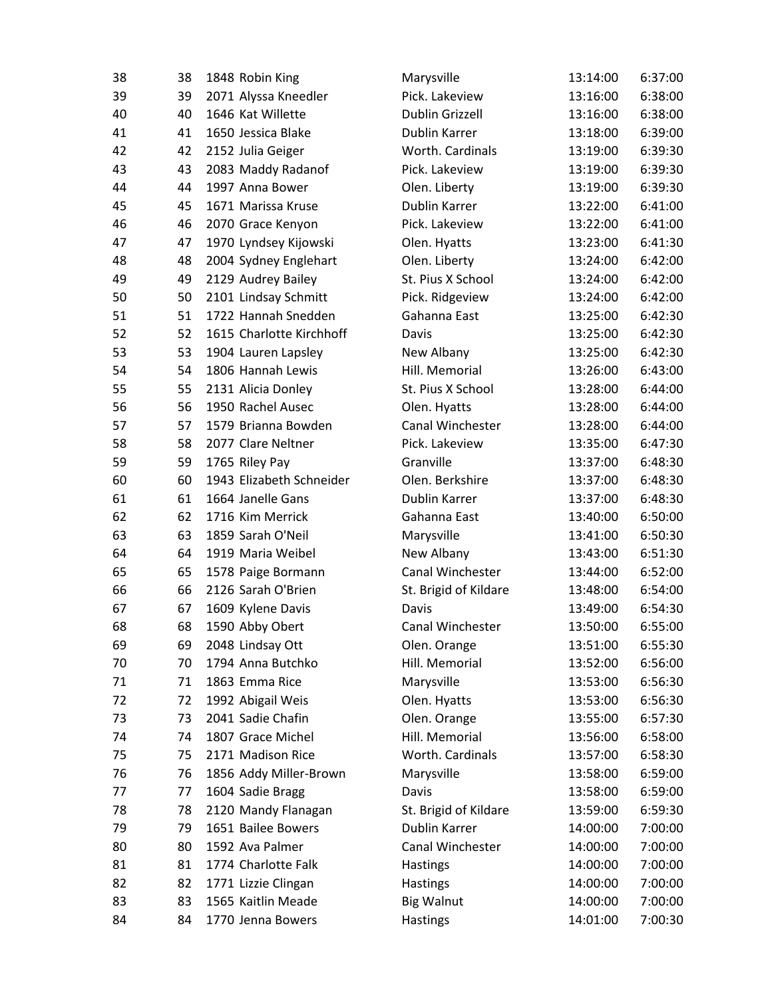| 38 | 38 | 1848 Robin King          | Marysville             | 13:14:00 | 6:37:00 |
|----|----|--------------------------|------------------------|----------|---------|
| 39 | 39 | 2071 Alyssa Kneedler     | Pick. Lakeview         | 13:16:00 | 6:38:00 |
| 40 | 40 | 1646 Kat Willette        | <b>Dublin Grizzell</b> | 13:16:00 | 6:38:00 |
| 41 | 41 | 1650 Jessica Blake       | Dublin Karrer          | 13:18:00 | 6:39:00 |
| 42 | 42 | 2152 Julia Geiger        | Worth. Cardinals       | 13:19:00 | 6:39:30 |
| 43 | 43 | 2083 Maddy Radanof       | Pick. Lakeview         | 13:19:00 | 6:39:30 |
| 44 | 44 | 1997 Anna Bower          | Olen. Liberty          | 13:19:00 | 6:39:30 |
| 45 | 45 | 1671 Marissa Kruse       | Dublin Karrer          | 13:22:00 | 6:41:00 |
| 46 | 46 | 2070 Grace Kenyon        | Pick. Lakeview         | 13:22:00 | 6:41:00 |
| 47 | 47 | 1970 Lyndsey Kijowski    | Olen. Hyatts           | 13:23:00 | 6:41:30 |
| 48 | 48 | 2004 Sydney Englehart    | Olen. Liberty          | 13:24:00 | 6:42:00 |
| 49 | 49 | 2129 Audrey Bailey       | St. Pius X School      | 13:24:00 | 6:42:00 |
| 50 | 50 | 2101 Lindsay Schmitt     | Pick. Ridgeview        | 13:24:00 | 6:42:00 |
| 51 | 51 | 1722 Hannah Snedden      | Gahanna East           | 13:25:00 | 6:42:30 |
| 52 | 52 | 1615 Charlotte Kirchhoff | Davis                  | 13:25:00 | 6:42:30 |
| 53 | 53 | 1904 Lauren Lapsley      | New Albany             | 13:25:00 | 6:42:30 |
| 54 | 54 | 1806 Hannah Lewis        | Hill. Memorial         | 13:26:00 | 6:43:00 |
| 55 | 55 | 2131 Alicia Donley       | St. Pius X School      | 13:28:00 | 6:44:00 |
| 56 | 56 | 1950 Rachel Ausec        | Olen. Hyatts           | 13:28:00 | 6:44:00 |
| 57 | 57 | 1579 Brianna Bowden      | Canal Winchester       | 13:28:00 | 6:44:00 |
| 58 | 58 | 2077 Clare Neltner       | Pick. Lakeview         | 13:35:00 | 6:47:30 |
| 59 | 59 | 1765 Riley Pay           | Granville              | 13:37:00 | 6:48:30 |
| 60 | 60 | 1943 Elizabeth Schneider | Olen. Berkshire        | 13:37:00 | 6:48:30 |
| 61 | 61 | 1664 Janelle Gans        | Dublin Karrer          | 13:37:00 | 6:48:30 |
| 62 | 62 | 1716 Kim Merrick         | Gahanna East           | 13:40:00 | 6:50:00 |
| 63 | 63 | 1859 Sarah O'Neil        | Marysville             | 13:41:00 | 6:50:30 |
| 64 | 64 | 1919 Maria Weibel        | New Albany             | 13:43:00 | 6:51:30 |
| 65 | 65 | 1578 Paige Bormann       | Canal Winchester       | 13:44:00 | 6:52:00 |
| 66 | 66 | 2126 Sarah O'Brien       | St. Brigid of Kildare  | 13:48:00 | 6:54:00 |
| 67 | 67 | 1609 Kylene Davis        | Davis                  | 13:49:00 | 6:54:30 |
| 68 | 68 | 1590 Abby Obert          | Canal Winchester       | 13:50:00 | 6:55:00 |
| 69 | 69 | 2048 Lindsay Ott         | Olen. Orange           | 13:51:00 | 6:55:30 |
| 70 | 70 | 1794 Anna Butchko        | Hill. Memorial         | 13:52:00 | 6:56:00 |
| 71 | 71 | 1863 Emma Rice           | Marysville             | 13:53:00 | 6:56:30 |
| 72 | 72 | 1992 Abigail Weis        | Olen. Hyatts           | 13:53:00 | 6:56:30 |
| 73 | 73 | 2041 Sadie Chafin        | Olen. Orange           | 13:55:00 | 6:57:30 |
| 74 | 74 | 1807 Grace Michel        | Hill. Memorial         | 13:56:00 | 6:58:00 |
| 75 | 75 | 2171 Madison Rice        | Worth. Cardinals       | 13:57:00 | 6:58:30 |
| 76 | 76 | 1856 Addy Miller-Brown   | Marysville             | 13:58:00 | 6:59:00 |
| 77 | 77 | 1604 Sadie Bragg         | Davis                  | 13:58:00 | 6:59:00 |
| 78 | 78 | 2120 Mandy Flanagan      | St. Brigid of Kildare  | 13:59:00 | 6:59:30 |
| 79 | 79 | 1651 Bailee Bowers       | Dublin Karrer          | 14:00:00 | 7:00:00 |
| 80 | 80 | 1592 Ava Palmer          | Canal Winchester       | 14:00:00 | 7:00:00 |
| 81 | 81 | 1774 Charlotte Falk      | <b>Hastings</b>        | 14:00:00 | 7:00:00 |
| 82 | 82 | 1771 Lizzie Clingan      | <b>Hastings</b>        | 14:00:00 | 7:00:00 |
| 83 | 83 | 1565 Kaitlin Meade       | <b>Big Walnut</b>      | 14:00:00 | 7:00:00 |
| 84 | 84 | 1770 Jenna Bowers        | <b>Hastings</b>        | 14:01:00 | 7:00:30 |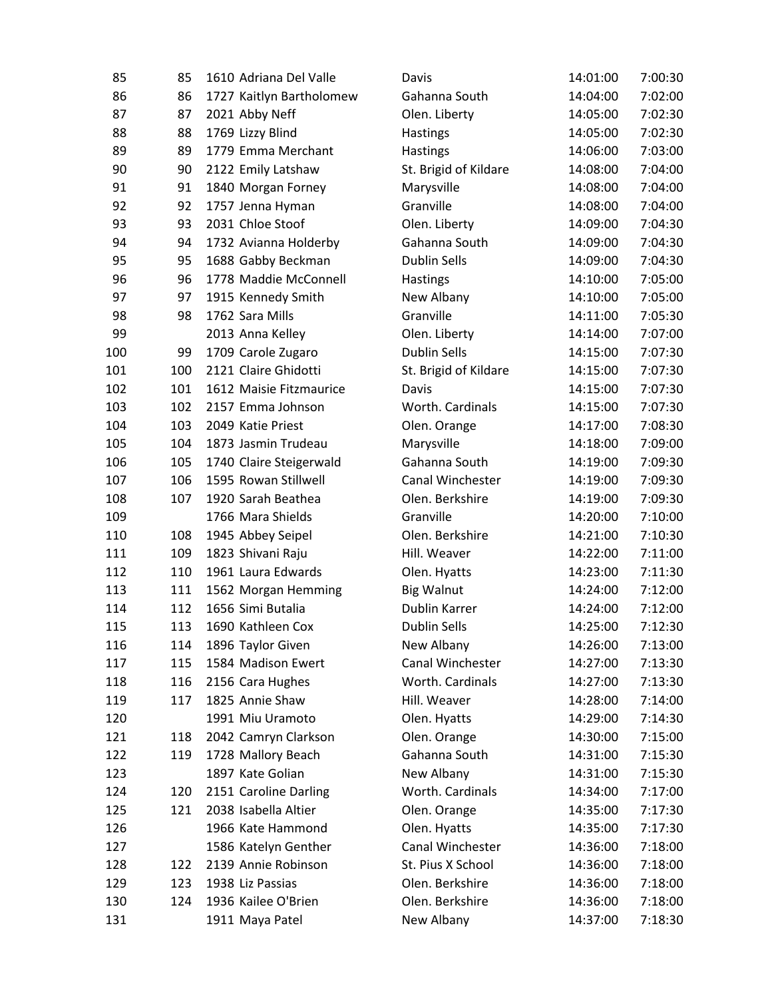| 85  | 85  | 1610 Adriana Del Valle   | Davis                 | 14:01:00 | 7:00:30 |
|-----|-----|--------------------------|-----------------------|----------|---------|
| 86  | 86  | 1727 Kaitlyn Bartholomew | Gahanna South         | 14:04:00 | 7:02:00 |
| 87  | 87  | 2021 Abby Neff           | Olen. Liberty         | 14:05:00 | 7:02:30 |
| 88  | 88  | 1769 Lizzy Blind         | <b>Hastings</b>       | 14:05:00 | 7:02:30 |
| 89  | 89  | 1779 Emma Merchant       | Hastings              | 14:06:00 | 7:03:00 |
| 90  | 90  | 2122 Emily Latshaw       | St. Brigid of Kildare | 14:08:00 | 7:04:00 |
| 91  | 91  | 1840 Morgan Forney       | Marysville            | 14:08:00 | 7:04:00 |
| 92  | 92  | 1757 Jenna Hyman         | Granville             | 14:08:00 | 7:04:00 |
| 93  | 93  | 2031 Chloe Stoof         | Olen. Liberty         | 14:09:00 | 7:04:30 |
| 94  | 94  | 1732 Avianna Holderby    | Gahanna South         | 14:09:00 | 7:04:30 |
| 95  | 95  | 1688 Gabby Beckman       | <b>Dublin Sells</b>   | 14:09:00 | 7:04:30 |
| 96  | 96  | 1778 Maddie McConnell    | Hastings              | 14:10:00 | 7:05:00 |
| 97  | 97  | 1915 Kennedy Smith       | New Albany            | 14:10:00 | 7:05:00 |
| 98  | 98  | 1762 Sara Mills          | Granville             | 14:11:00 | 7:05:30 |
| 99  |     | 2013 Anna Kelley         | Olen. Liberty         | 14:14:00 | 7:07:00 |
| 100 | 99  | 1709 Carole Zugaro       | <b>Dublin Sells</b>   | 14:15:00 | 7:07:30 |
| 101 | 100 | 2121 Claire Ghidotti     | St. Brigid of Kildare | 14:15:00 | 7:07:30 |
| 102 | 101 | 1612 Maisie Fitzmaurice  | Davis                 | 14:15:00 | 7:07:30 |
| 103 | 102 | 2157 Emma Johnson        | Worth. Cardinals      | 14:15:00 | 7:07:30 |
| 104 | 103 | 2049 Katie Priest        | Olen. Orange          | 14:17:00 | 7:08:30 |
| 105 | 104 | 1873 Jasmin Trudeau      | Marysville            | 14:18:00 | 7:09:00 |
| 106 | 105 | 1740 Claire Steigerwald  | Gahanna South         | 14:19:00 | 7:09:30 |
| 107 | 106 | 1595 Rowan Stillwell     | Canal Winchester      | 14:19:00 | 7:09:30 |
| 108 | 107 | 1920 Sarah Beathea       | Olen. Berkshire       | 14:19:00 | 7:09:30 |
| 109 |     | 1766 Mara Shields        | Granville             | 14:20:00 | 7:10:00 |
| 110 | 108 | 1945 Abbey Seipel        | Olen. Berkshire       | 14:21:00 | 7:10:30 |
| 111 | 109 | 1823 Shivani Raju        | Hill. Weaver          | 14:22:00 | 7:11:00 |
| 112 | 110 | 1961 Laura Edwards       | Olen. Hyatts          | 14:23:00 | 7:11:30 |
| 113 | 111 | 1562 Morgan Hemming      | <b>Big Walnut</b>     | 14:24:00 | 7:12:00 |
| 114 | 112 | 1656 Simi Butalia        | Dublin Karrer         | 14:24:00 | 7:12:00 |
| 115 | 113 | 1690 Kathleen Cox        | <b>Dublin Sells</b>   | 14:25:00 | 7:12:30 |
| 116 | 114 | 1896 Taylor Given        | New Albany            | 14:26:00 | 7:13:00 |
| 117 | 115 | 1584 Madison Ewert       | Canal Winchester      | 14:27:00 | 7:13:30 |
| 118 | 116 | 2156 Cara Hughes         | Worth. Cardinals      | 14:27:00 | 7:13:30 |
| 119 | 117 | 1825 Annie Shaw          | Hill. Weaver          | 14:28:00 | 7:14:00 |
| 120 |     | 1991 Miu Uramoto         | Olen. Hyatts          | 14:29:00 | 7:14:30 |
| 121 | 118 | 2042 Camryn Clarkson     | Olen. Orange          | 14:30:00 | 7:15:00 |
| 122 | 119 | 1728 Mallory Beach       | Gahanna South         | 14:31:00 | 7:15:30 |
| 123 |     | 1897 Kate Golian         | New Albany            | 14:31:00 | 7:15:30 |
| 124 | 120 | 2151 Caroline Darling    | Worth. Cardinals      | 14:34:00 | 7:17:00 |
| 125 | 121 | 2038 Isabella Altier     | Olen. Orange          | 14:35:00 | 7:17:30 |
| 126 |     | 1966 Kate Hammond        | Olen. Hyatts          | 14:35:00 | 7:17:30 |
| 127 |     | 1586 Katelyn Genther     | Canal Winchester      | 14:36:00 | 7:18:00 |
| 128 | 122 | 2139 Annie Robinson      | St. Pius X School     | 14:36:00 | 7:18:00 |
| 129 | 123 | 1938 Liz Passias         | Olen. Berkshire       | 14:36:00 | 7:18:00 |
| 130 | 124 | 1936 Kailee O'Brien      | Olen. Berkshire       | 14:36:00 | 7:18:00 |
| 131 |     | 1911 Maya Patel          | New Albany            | 14:37:00 | 7:18:30 |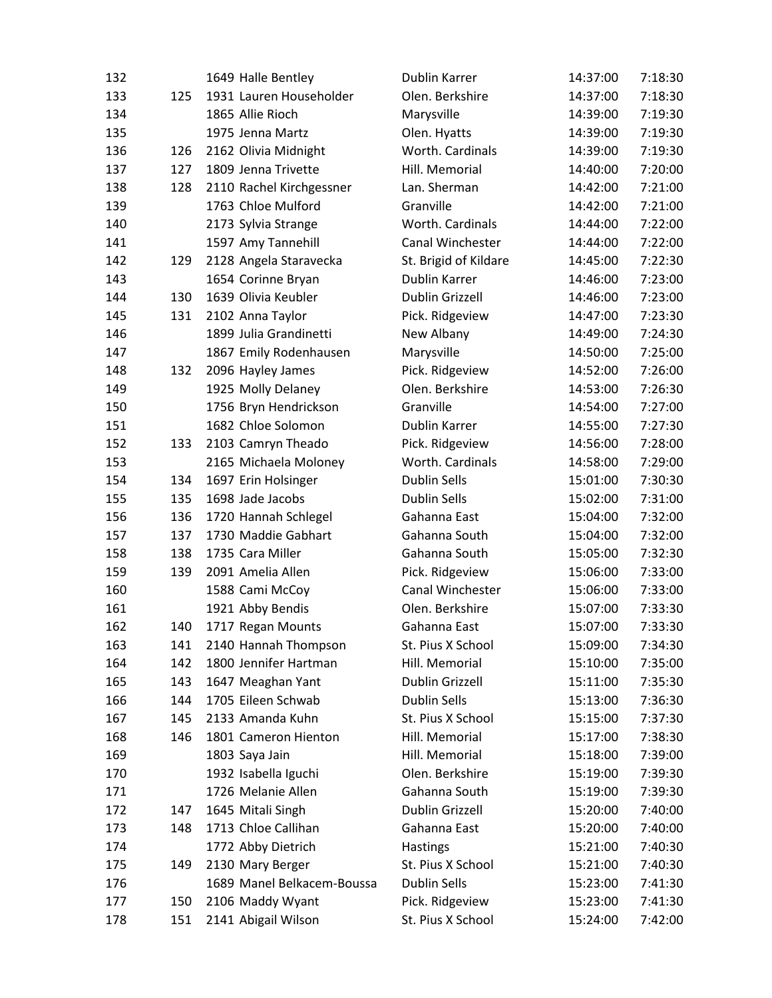| 132 |     | 1649 Halle Bentley         | Dublin Karrer          | 14:37:00 | 7:18:30 |
|-----|-----|----------------------------|------------------------|----------|---------|
| 133 | 125 | 1931 Lauren Householder    | Olen. Berkshire        | 14:37:00 | 7:18:30 |
| 134 |     | 1865 Allie Rioch           | Marysville             | 14:39:00 | 7:19:30 |
| 135 |     | 1975 Jenna Martz           | Olen. Hyatts           | 14:39:00 | 7:19:30 |
| 136 | 126 | 2162 Olivia Midnight       | Worth. Cardinals       | 14:39:00 | 7:19:30 |
| 137 | 127 | 1809 Jenna Trivette        | Hill. Memorial         | 14:40:00 | 7:20:00 |
| 138 | 128 | 2110 Rachel Kirchgessner   | Lan. Sherman           | 14:42:00 | 7:21:00 |
| 139 |     | 1763 Chloe Mulford         | Granville              | 14:42:00 | 7:21:00 |
| 140 |     | 2173 Sylvia Strange        | Worth. Cardinals       | 14:44:00 | 7:22:00 |
| 141 |     | 1597 Amy Tannehill         | Canal Winchester       | 14:44:00 | 7:22:00 |
| 142 | 129 | 2128 Angela Staravecka     | St. Brigid of Kildare  | 14:45:00 | 7:22:30 |
| 143 |     | 1654 Corinne Bryan         | Dublin Karrer          | 14:46:00 | 7:23:00 |
| 144 | 130 | 1639 Olivia Keubler        | <b>Dublin Grizzell</b> | 14:46:00 | 7:23:00 |
| 145 | 131 | 2102 Anna Taylor           | Pick. Ridgeview        | 14:47:00 | 7:23:30 |
| 146 |     | 1899 Julia Grandinetti     | New Albany             | 14:49:00 | 7:24:30 |
| 147 |     | 1867 Emily Rodenhausen     | Marysville             | 14:50:00 | 7:25:00 |
| 148 | 132 | 2096 Hayley James          | Pick. Ridgeview        | 14:52:00 | 7:26:00 |
| 149 |     | 1925 Molly Delaney         | Olen. Berkshire        | 14:53:00 | 7:26:30 |
| 150 |     | 1756 Bryn Hendrickson      | Granville              | 14:54:00 | 7:27:00 |
| 151 |     | 1682 Chloe Solomon         | Dublin Karrer          | 14:55:00 | 7:27:30 |
| 152 | 133 | 2103 Camryn Theado         | Pick. Ridgeview        | 14:56:00 | 7:28:00 |
| 153 |     | 2165 Michaela Moloney      | Worth. Cardinals       | 14:58:00 | 7:29:00 |
| 154 | 134 | 1697 Erin Holsinger        | <b>Dublin Sells</b>    | 15:01:00 | 7:30:30 |
| 155 | 135 | 1698 Jade Jacobs           | <b>Dublin Sells</b>    | 15:02:00 | 7:31:00 |
| 156 | 136 | 1720 Hannah Schlegel       | Gahanna East           | 15:04:00 | 7:32:00 |
| 157 | 137 | 1730 Maddie Gabhart        | Gahanna South          | 15:04:00 | 7:32:00 |
| 158 | 138 | 1735 Cara Miller           | Gahanna South          | 15:05:00 | 7:32:30 |
| 159 | 139 | 2091 Amelia Allen          | Pick. Ridgeview        | 15:06:00 | 7:33:00 |
| 160 |     | 1588 Cami McCoy            | Canal Winchester       | 15:06:00 | 7:33:00 |
| 161 |     | 1921 Abby Bendis           | Olen. Berkshire        | 15:07:00 | 7:33:30 |
| 162 | 140 | 1717 Regan Mounts          | Gahanna East           | 15:07:00 | 7:33:30 |
| 163 | 141 | 2140 Hannah Thompson       | St. Pius X School      | 15:09:00 | 7:34:30 |
| 164 | 142 | 1800 Jennifer Hartman      | Hill. Memorial         | 15:10:00 | 7:35:00 |
| 165 | 143 | 1647 Meaghan Yant          | Dublin Grizzell        | 15:11:00 | 7:35:30 |
| 166 | 144 | 1705 Eileen Schwab         | <b>Dublin Sells</b>    | 15:13:00 | 7:36:30 |
| 167 | 145 | 2133 Amanda Kuhn           | St. Pius X School      | 15:15:00 | 7:37:30 |
| 168 | 146 | 1801 Cameron Hienton       | Hill. Memorial         | 15:17:00 | 7:38:30 |
| 169 |     | 1803 Saya Jain             | Hill. Memorial         | 15:18:00 | 7:39:00 |
| 170 |     | 1932 Isabella Iguchi       | Olen. Berkshire        | 15:19:00 | 7:39:30 |
| 171 |     | 1726 Melanie Allen         | Gahanna South          | 15:19:00 | 7:39:30 |
| 172 | 147 | 1645 Mitali Singh          | <b>Dublin Grizzell</b> | 15:20:00 | 7:40:00 |
| 173 | 148 | 1713 Chloe Callihan        | Gahanna East           | 15:20:00 | 7:40:00 |
| 174 |     | 1772 Abby Dietrich         | Hastings               | 15:21:00 | 7:40:30 |
| 175 | 149 | 2130 Mary Berger           | St. Pius X School      | 15:21:00 | 7:40:30 |
| 176 |     | 1689 Manel Belkacem-Boussa | <b>Dublin Sells</b>    | 15:23:00 | 7:41:30 |
| 177 | 150 | 2106 Maddy Wyant           | Pick. Ridgeview        | 15:23:00 | 7:41:30 |
| 178 | 151 | 2141 Abigail Wilson        | St. Pius X School      | 15:24:00 | 7:42:00 |